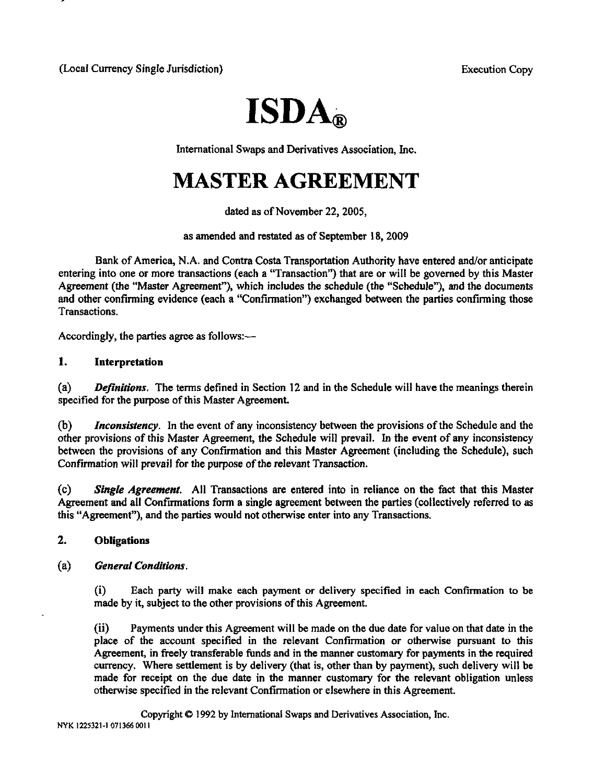(Local Currency Single Jurisdiction) Execution Copy



International Swaps and Derivatives Association, Inc.

# **MASTER AGREEMENT**

dated as of November 22, 2005,

as amended and restated as of September 18, 2009

Bank of America, N.A. and Contra Costa Transportation Authority have entered and/or anticipate entering into one or more transactions (each a "Transaction") that are or will be governed by this Master Agreement (the "Master Agreement"), which includes the schedule (the "Schedule"), and the documents and other confirming evidence (each a "Confirmation") exchanged between the parties confirming those Transactions.

Accordingly, the parties agree as follows:—

## **1. Interpretation**

(a) *Definitions.* The terms defmed in Section 12 and in the Schedule will have the meanings therein specified for the purpose of this Master Agreement.

(b) *Inconsistency.* In the event of any inconsistency between the provisions of the Schedule and the other provisions of this Master Agreement, the Schedule will prevail. In the event of any inconsistency between the provisions of any Confirmation and this Master Agreement (including the Schedule), such Confirmation will prevail for the purpose of the relevant Transaction.

(c) *Single Agreement.* All Transactions are entered into in reliance on the fact that this Master Agreement and all Confirmations form a single agreement between the parties (collectively referred to as this "Agreement"), and the parties would not otherwise enter into any Transactions.

## **2. Obligations**

## **(a)** *General Conditions.*

(i) Each party will make each payment or delivery specified in each Confirmation to be made by it, subject to the other provisions of this Agreement.

(ii) Payments under this Agreement will be made on the due date for value on that date in the place of the account specified in the relevant Confirmation or otherwise pursuant to this Agreement, in freely transferable funds and in the manner customary for payments in the required currency. Where settlement is by delivery (that is, other than by payment), such delivery will be made for receipt on the due date in the manner customary for the relevant obligation unless otherwise specified in the relevant Confirmation or elsewhere in this Agreement.

Copyright © 1992 by International Swaps and Derivatives Association, Inc. **N Y K 1225321-1 071366 0011**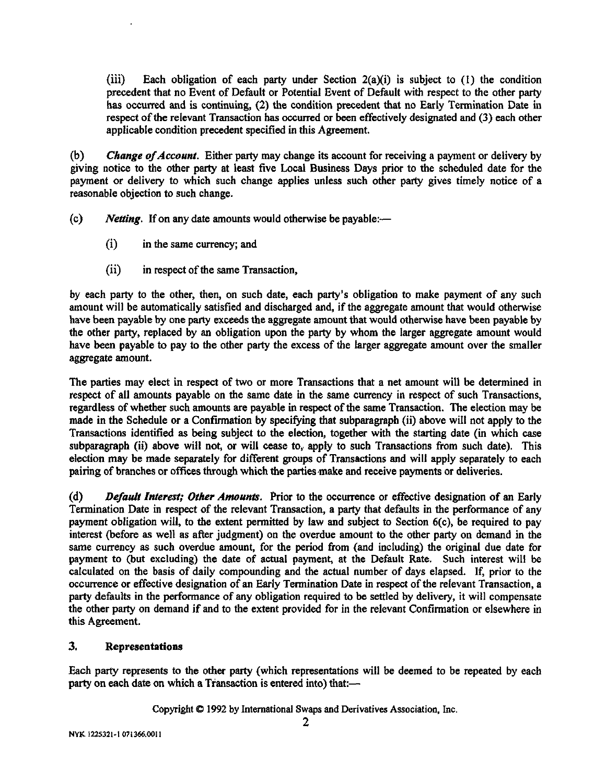(iii) Each obligation of each party under Section  $2(a)(i)$  is subject to (1) the condition precedent that no Event of Default or Potential Event of Default with respect to the other party has occurred and is continuing, (2) the condition precedent that no Early Termination Date in respect of the relevant Transaction has occurred or been effectively designated and (3) each other applicable condition precedent specified in this Agreement.

(b) *Change of Account.* Either party may change its account for receiving a payment or delivery by giving notice to the other party at least five Local Business Days prior to the scheduled date for the payment or delivery to which such change applies unless such other party gives timely notice of a reasonable objection to such change.

- (c) *Netting.* If on any date amounts would otherwise be payable:—
	- (i) in the same currency; and
	- (ii) in respect of the same Transaction,

by each party to the other, then, on such date, each party's obligation to make payment of any such amount will be automatically satisfied and discharged and, if the aggregate amount that would otherwise have been payable by one party exceeds the aggregate amount that would otherwise have been payable by the other party, replaced by an obligation upon the party by whom the larger aggregate amount would have been payable to pay to the other party the excess of the larger aggregate amount over the smaller aggregate amount.

The parties may elect in respect of two or more Transactions that a net amount will be determined in respect of all amounts payable on the same date in the same currency in respect of such Transactions, regardless of whether such amounts are payable in respect of the same Transaction. The election may be made in the Schedule or a Confirmation by specifying that subparagraph (ii) above will not apply to the Transactions identified as being subject to the election, together with the starting date (in which case subparagraph (ii) above will not, or will cease to, apply to such Transactions from such date). This election may be made separately for different groups of Transactions and will apply separately to each pairing of branches or offices through which the parties make and receive payments or deliveries.

(d) *Default Interest; Other Amounts.* Prior to the occurrence or effective designation of an Early Termination Date in respect of the relevant Transaction, a party that defaults in the performance of any payment obligation will, to the extent permitted by law and subject to Section 6(c), be required to pay interest (before as well as after judgment) on the overdue amount to the other party on demand in the same currency as such overdue amount, for the period from (and including) the original due date for payment to (but excluding) the date of actual payment, at the Default Rate. Such interest will be calculated on the basis of daily compounding and the actual number of days elapsed. If, prior to the occurrence or effective designation of an Early Termination Date in respect of the relevant Transaction, a party defaults in the performance of any obligation required to be settled by delivery, it will compensate the other party on demand if and to the extent provided for in the relevant Confirmation or elsewhere in this Agreement.

## **3. Representations**

Each party represents to the other party (which representations will be deemed to be repeated by each party on each date on which a Transaction is entered into) that:—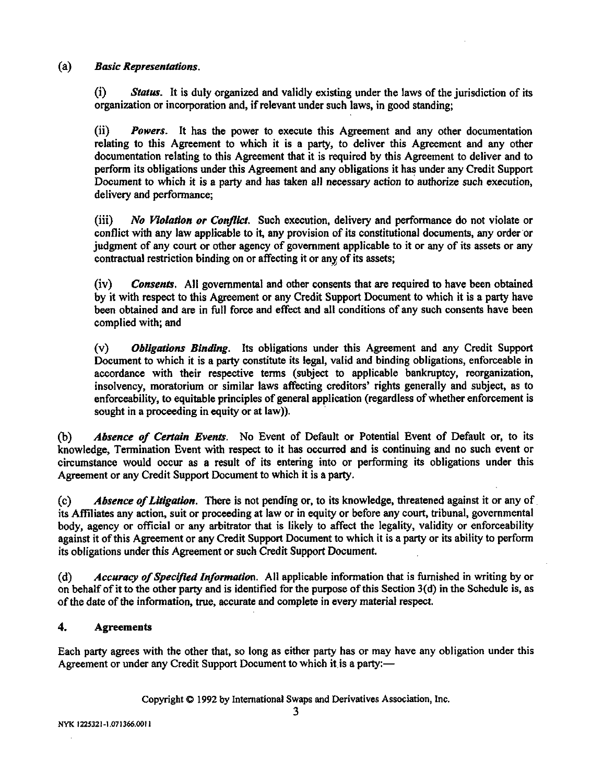## (a) *Basic Representations.*

(i) *Status.* It is duly organized and validly existing under the laws of the jurisdiction of its organization or incorporation and, if relevant under such laws, in good standing;

(ii) *Powers.* It has the power to execute this Agreement and any other documentation relating to this Agreement to which it is a party, to deliver this Agreement and any other documentation relating to this Agreement that it is required by this Agreement to deliver and to perform its obligations under this Agreement and any obligations it has under any Credit Support Document to which it is a party and has taken all necessary action to authorize such execution, delivery and performance;

(iii) *No Violation or Conflict.* Such execution, delivery and performance do not violate or conflict with any law applicable to it, any provision of its constitutional documents, any order or judgment of any court or other agency of government applicable to it or any of its assets or any contractual restriction binding on or affecting it or any of its assets;

(iv) *Consents.* All governmental and other consents that are required to have been obtained by it with respect to this Agreement or any Credit Support Document to which it is a party have been obtained and are in full force and effect and all conditions of any such consents have been complied with; and

(v) *Obligations Binding.* Its obligations under this Agreement and any Credit Support Document to which it is a party constitute its legal, valid and binding obligations, enforceable in accordance with their respective terms (subject to applicable bankruptcy, reorganization, insolvency, moratorium or similar laws affecting creditors' rights generally and subject, as to enforceability, to equitable principles of general application (regardless of whether enforcement is sought in a proceeding in equity or at law)).

(b) *Absence of Certain Events.* No Event of Default or Potential Event of Default or, to its knowledge. Termination Event with respect to it has occurred and is continuing and no such event or circumstance would occur as a result of its entering into or performing its obligations under this Agreement or any Credit Support Document to which it is a party.

(c) *Absence of Litigation.* There is not pending or, to its knowledge, threatened against it or any of its Affiliates any action, suit or proceeding at law or in equity or before any court, tribunal, governmental body, agency or official or any arbitrator that is likely to affect the legality, validity or enforceability against it of this Agreement or any Credit Support Document to which it is a party or its ability to perform its obligations under this Agreement or such Credit Support Document.

(d) Accuracy of Specified Information. All applicable information that is furnished in writing by or on behalf of it to the other party and is identified for the purpose of this Section 3(d) in the Schedule is, as of the date of the information, true, accurate and complete in every material respect.

# 4. Agreements

Each party agrees with the other that, so long as either party has or may have any obligation under this Agreement or under any Credit Support Document to which it is a party:—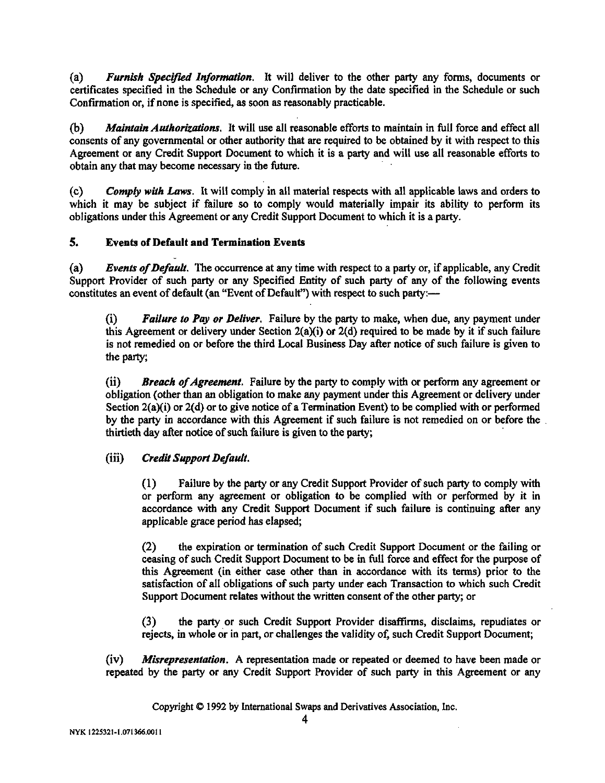**(a)** *Furnish Specified Information.* It will deliver to the other party any forms, documents or certificates specified in the Schedule or any Confirmation by the date specified in the Schedule or such Confirmation or, if none is specified, as soon as reasonably practicable.

(b) *Maintain Authorizations.* It will use all reasonable efforts to maintain in full force and effect all consents of any governmental or other authority that are required to be obtained by it with respect to this Agreement or any Credit Support Document to which it is a party and will use all reasonable efforts to obtain any that may become necessary in the future.

(c) *Comply with Laws.* It will comply in all material respects with all applicable laws and orders to which it may be subject if failure so to comply would materially impair its ability to perform its obligations under this Agreement or any Credit Support Document to which it is a party.

## **5. Events of Default and Termination £vents**

**(a)** *Events of Default.* The occurrence at any time with respect to a party or, if applicable, any Credit Support Provider of such party or any Specified Entity of such party of any of the following events constitutes an event of default (an "Event of Default") with respect to such party:—

(i) *Failure to* **Pay** *or Deliver.* Failure by the party to make, when due, any payment under this Agreement or delivery under Section  $2(a)(i)$  or  $2(d)$  required to be made by it if such failure is not remedied on or before the third Local Business Day after notice of such failure is given to the party;

(ii) *Breach of Agreement.* Failure by the party to comply with or perform any agreement or obligation (other than an obligation to make any payment under this Agreement or delivery under Section  $2(a)(i)$  or  $2(d)$  or to give notice of a Termination Event) to be complied with or performed by the party in accordance with this Agreement if such failure is not remedied on or before the thirtieth day after notice of such failure is given to the party;

# (iii) *Credit Support Default.*

(1) Failure by the party or any Credit Support Provider of such party to comply with or perform any agreement or obligation to be complied with or performed by it in accordance with any Credit Support Document if such failure is continuing after any applicable grace period has elapsed;

(2) the expiration or termination of such Credit Support Document or the failing or ceasing of such Credit Support Document to be in full force and effect for the purpose of this Agreement (in either case other than in accordance with its terms) prior to the satisfaction of all obligations of such party under each Transaction to which such Credit Support Document relates without the written consent of the other party; or

(3) the party or such Credit Support Provider disaffirms, disclaims, repudiates or rejects, in whole or in part, or challenges the validity of, such Credit Support Document;

(iv) *Misrepresentation.* A representation made or repeated or deemed to have been made or repeated by the party or any Credit Support Provider of such party in this Agreement or any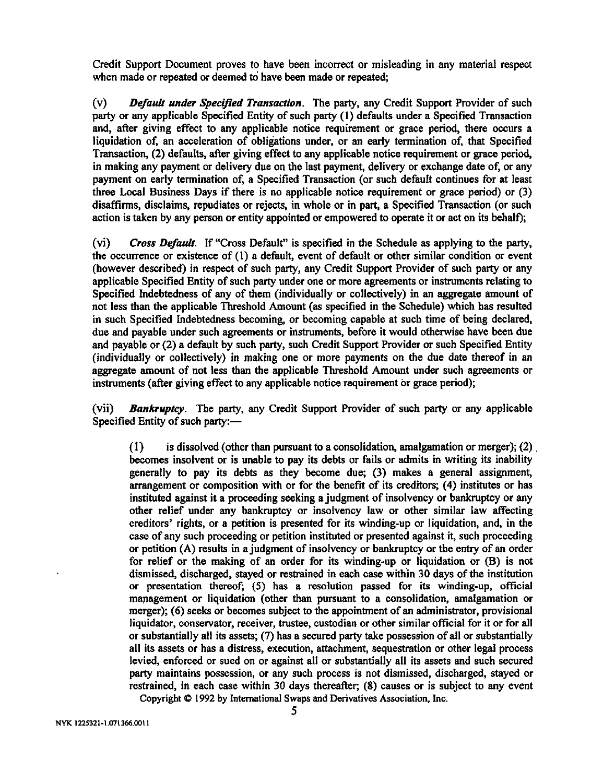Credit Support Document proves to have been incorrect or misleading in any material respect when made or repeated or deemed to have been made or repeated;

(v) *Default under Specified Transaction.* The party, any Credit Support Provider of such party or any applicable Specified Entity of such party (1) defaults under a Specified Transaction and, after giving effect to any applicable notice requirement or grace period, there occurs a liquidation of, an acceleration of obligations under, or an early termination of, that Specified Transaction, (2) defaults, after giving effect to any applicable notice requirement or grace period, in making any payment or delivery due on the last payment, delivery or exchange date of, or any payment on early termination of, a Specified Transaction (or such default continues for at least three Local Business Days if there is no applicable notice requirement or grace period) or (3) disaffirms, disclaims, repudiates or rejects, in whole or in part, a Specified Transaction (or such action is taken by any person or entity appointed or empowered to operate it or act on its behalf);

(vi) *Cross Defauit.* If "Cross Default" is specified in the Schedule as applying to the party, the occurrence or existence of (1) a default, event of default or other similar condition or event (however described) in respect of such party, any Credit Support Provider of such party or any applicable Specified Entity of such party under one or more agreements or instruments relating to Specified Indebtedness of any of them (individually or collectively) in an aggregate amount of not less than the applicable Threshold Amount (as specified in the Schedule) which has resulted in such Specified Indebtedness becoming, or becoming capable at such time of being declared, due and payable under such agreements or instruments, before it would otherwise have been due and payable or (2) a default by such party, such Credit Support Provider or such Specified Entity (individually or collectively) in making one or more payments on the due date thereof in an aggregate amount of not less than the applicable Threshold Amount under such agreements or instruments (after giving effect to any applicable notice requirement or grace period);

(vii) *Bankruptcy.* The party, any Credit Support Provider of such party or any applicable Specified Entity of such party:—

(1) is dissolved (other than pursuant to a consolidation, amalgamation or merger); (2), becomes insolvent or is unable to pay its debts or fails or admits in writing its inability generally to pay its debts as they become due; (3) makes a general assignment, arrangement or composition with or for the benefit of its creditors; (4) institutes or has instituted against it a proceeding seeking a judgment of insolvency or bankruptcy or any other relief under any bankruptcy or insolvency law or other similar law affecting creditors' rights, or a petition is presented for its winding-up or liquidation, and, in the case of any such proceeding or petition instituted or presented against it, such proceeding or petition (A) results in a judgment of insolvency or bankruptcy or the entry of an order for relief or the making of an order for its winding-up or liquidation or (B) is not dismissed, discharged, stayed or restrained in each case within 30 days of the institution or presentation thereof; (5) has a resolution passed for its winding-up, official management or liquidation (other than pursuant to a consolidation, amalgamation or merger); (6) seeks or becomes subject to the appointment of an administrator, provisional liquidator, conservator, receiver, trustee, custodian or other similar official for it or for all or substantially all its assets; (7) has a secured party take possession of all or substantially all its assets or has a distress, execution, attachment, sequestration or other legal process levied, enforced or sued on or against all or substantially all its assets and such secured party maintains possession, or any such process is not dismissed, discharged, stayed or restrained, in each case within 30 days thereafter; (8) causes or is subject to any event Copyright © 1992 by International Swaps and Derivatives Association, Inc.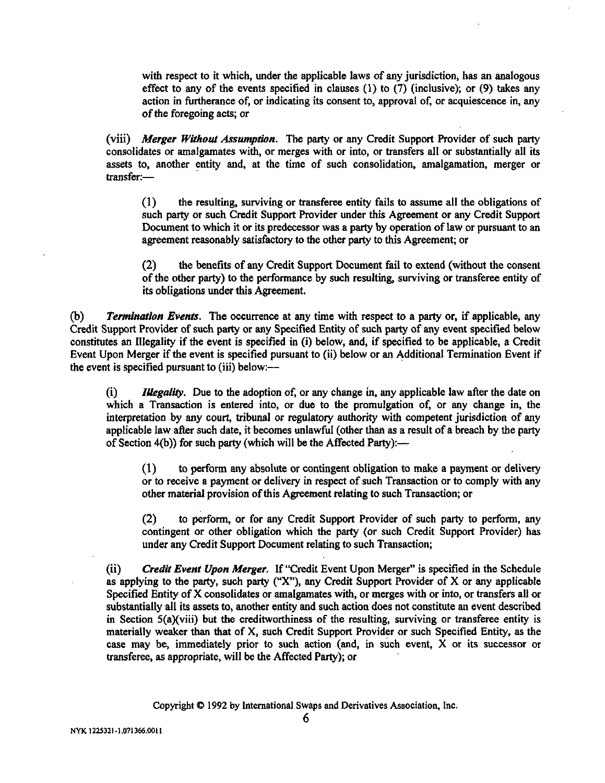with respect to it which, under the applicable laws of any jurisdiction, has an analogous effect to any of the events specified in clauses (1) to (7) (inclusive); or (9) takes any action in furtherance of, or indicating its consent to, approval of, or acquiescence in, any of the foregoing acts; or

(viii) *Merger Without Assumption.* The party or any Credit Support Provider of such party consolidates or amalgamates with, or merges with or into, or transfers all or substantially all its assets to, another entity and, at the time of such consolidation, amalgamation, merger or transfer:—

(1) the resulting, surviving or transferee entity fails to assume all the obligations of such party or such Credit Support Provider under this Agreement or any Credit Support Document to which it or its predecessor was a party by operation of law or pursuant to an agreement reasonably satisfactory to the other party to this Agreement; or

(2) the benefits of any Credit Support Document fail to extend (without the consent of the other party) to the performance by such resulting, surviving or transferee entity of its obligations under this Agreement.

**(b)** *Termination Events.* The occurrence at any time with respect to a party or, if applicable, any Credit Support Provider of such party or any Specified Entity of such party of any event specified below constitutes an Illegality if the event is specified in (i) below, and, if specified to be applicable, a Credit Event Upon Merger if the event is specified pursuant to (ii) below or an Additional Termination Event if the event is specified pursuant to (iii) below:—

(i) *IUegaiity.* Due to the adoption of, or any change in, any applicable law after the date on which a Transaction is entered into, or due to the promulgation of, or any change in, the interpretation by any court, tribunal or regulatory authority with competent jurisdiction of any applicable law after such date, it becomes unlawful (other than as a result of a breach by the party of Section 4(b)) for such party (which will be the Affected Party):—

(1) to perform any absolute or contingent obligation to make a payment or delivery or to receive a payment or delivery in respect of such Transaction or to comply with any other material provision of this Agreement relating to such Transaction; or

(2) to perform, or for any Credit Support Provider of such party to perform, any contingent or other obligation which the party (or such Credit Support Provider) has under any Credit Support Document relating to such Transaction;

(ii) *Credit Event Upon Merger.* If "Credit Event Upon Merger" is specified in the Schedule as applying to the party, such party ("X"), any Credit Support Provider of X or any applicable Specified Entity of X consolidates or amalgamates with, or merges with or into, or transfers all or substantially all its assets to, another entity and such action does not constitute an event described in Section 5(a)(viii) but the creditworthiness of the resulting, surviving or transferee entity is materially weaker than that of X, such Credit Support Provider or such Specified Entity, as the case may be, immediately prior to such action (and, in such event, X or its successor or transferee, as appropriate, will be the Affected Party); or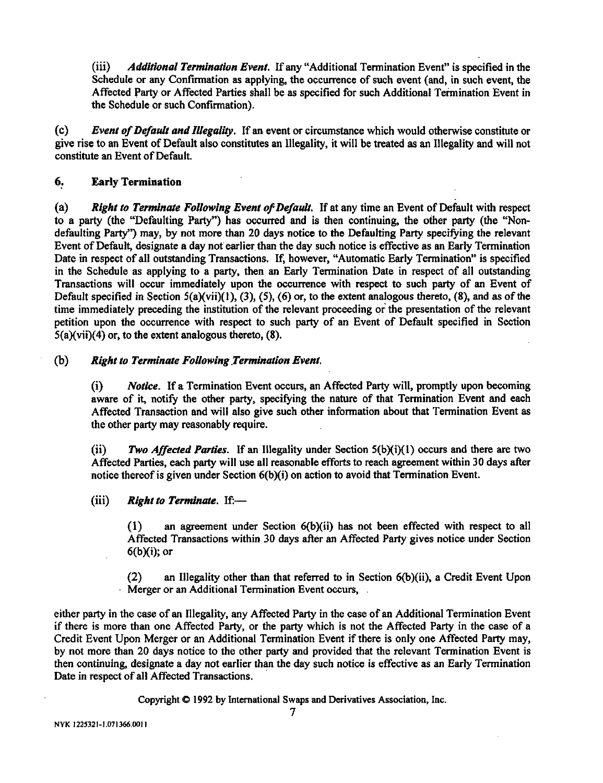(iii) *Additional Termination Event.* If any "Additional Termination Event" is specified in the Schedule or any Confirmation as applying, the occurrence of such event (and, in such event, the Affected Party or Affected Parties shall be as specified for such Additional Termination Event in the Schedule or such Confirmation).

(c) *Event of Default and Illegality.* If an event or circumstance which would otherwise constitute or give rise to an Event of Default also constitutes an Illegality, it will be treated as an Illegality and will not constitute an Event of Default.

#### **6. Early Termination**

**(a)** *Right to Terminate Following Event of Default.* If at any time an Event of Default with respect to a party (the "Defaulting Party") has occurred and is then continuing, the other party (the "Nondefaulting Party") may, by not more than 20 days notice to the Defaulting Party specifying the relevant Event of Default, designate a day not earlier than the day such notice is effective as an Early Termination Date in respect of all outstanding Transactions. If, however, "Automatic Early Termination" is specified in the Schedule as applying to a party, then an Early Termination Date in respect of all outstanding Transactions will occur immediately upon the occurrence with respect to such party of an Event of Default specified in Section  $5(a)(vi)(1)$ ,  $(3)$ ,  $(5)$ ,  $(6)$  or, to the extent analogous thereto,  $(8)$ , and as of the time immediately preceding the institution of the relevant proceeding or the presentation of the relevant petition upon the occurrence with respect to such party of an Event of Default specified in Section  $5(a)$ (vii)(4) or, to the extent analogous thereto, (8).

#### **(b)** *Right to Terminate Following Termination Event.*

(i) *Notice.* If a Termination Event occurs, an Affected Party will, promptly upon becoming aware of it, notify the other party, specifying the nature of that Termination Event and each Affected Transaction and will also give such other information about that Termination Event as the other party may reasonably require.

(ii) Two Affected Parties. If an Illegality under Section  $5(b)(i)(1)$  occurs and there are two Affected Parties, each party will use all reasonable efforts to reach agreement within 30 days after notice thereof is given under Section  $6(b)(i)$  on action to avoid that Termination Event.

#### (iii) *Right to Terminate. If:***—**

(1) an agreement under Section 6(b)(ii) has not been effected with respect to all Affected Transactions within 30 days after an Affected Party gives notice under Section  $6(b)(i)$ ; or

(2) an Illegality other than that referred to in Section 6(b)(ii), a Credit Event Upon Merger or an Additional Termination Event occurs,

either party in the case of an Illegality, any Affected Party in the case of an Additional Termination Event if there is more than one Affected Party, or the party which is not the Affected Party in the case of a Credit Event Upon Merger or an Additional Termination Event if there is only one Affected Party may, by not more than 20 days notice to the other party and provided that the relevant Termination Event is then continuing, designate a day not earlier than the day such notice is effective as an Early Termination Date in respect of all Affected Transactions.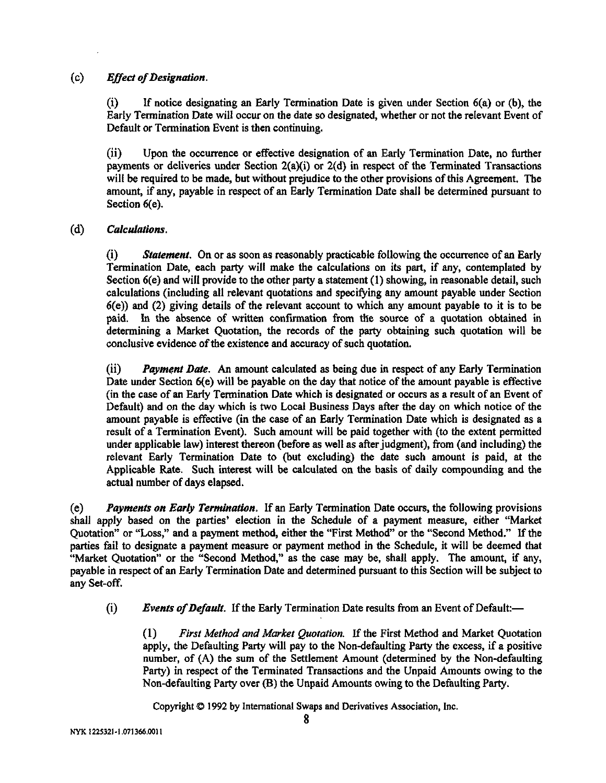## **(c)** *Effect of Designation.*

(i) If notice designating an Early Termination Date is given under Section 6(a) or (b), the Early Termination Date will occur on the date so designated, whether or not the relevant Event of Default or Termination Event is then continuing.

(ii) Upon the occurrence or effective designation of an Early Termination Date, no further payments or deliveries under Section  $2(a)(i)$  or  $2(d)$  in respect of the Terminated Transactions will be required to be made, but without prejudice to the other provisions of this Agreement. The amount, if any, payable in respect of an Early Termination Date shall be determined pursuant to Section 6(e).

#### **(d)** *Calculations.*

(i) *Statement.* On or as soon as reasonably practicable following the occurrence of an Early Termination Date, each party will make the calculations on its part, if any, contemplated by Section 6(e) and will provide to the other party a statement (1) showing, in reasonable detail, such calculations (including all relevant quotations and specifying any amount payable under Section 6(e)) and (2) giving details of the relevant account to which any amount payable to it is to be paid. In the absence of written confirmation from the source of a quotation obtained in determining a Market Quotation, the records of the party obtaining such quotation will be conclusive evidence of the existence and accuracy of such quotation.

(ii) *Payment Date.* An amount calculated as being due in respect of any Early Termination Date under Section 6(e) will be payable on the day that notice of the amount payable is effective (in the case of an Early Termination Date which is designated or occurs as a result of an Event of Default) and on the day which is two Local Business Days after the day on which notice of the amount payable is effective (in the case of an Early Termination Date which is designated as a result of a Termination Event). Such amount will be paid together with (to the extent permitted under applicable law) interest thereon (before as well as after judgment), from (and including) the relevant Early Termination Date to (but excluding) the date such amount is paid, at the Applicable Rate. Such interest will be calculated on the basis of daily compounding and the actual number of days elapsed.

(e) *Payments on Early Termination.* If an Early Termination Date occurs, the following provisions shall apply based on the parties' election in the Schedule of a payment measure, either "Market Quotation" or "Loss," and a payment method, either the "First Method" or the "Second Method." If the parties fail to designate a payment measure or payment method in the Schedule, it will be deemed that "Market Quotation" or the "Second Method," as the case may be, shall apply. The amount, if any, payable in respect of an Early Termination Date and determined pursuant to this Section will be subject to any Set-off.

(i) *Events of Default.* If the Early Termination Date results from an Event of Default:—

(1) *First Method and Market Quotation.* If the First Method and Market Quotation apply, the Defaulting Party will pay to the Non-defaulting Party the excess, if a positive number, of (A) the sum of the Settlement Amount (determined by the Non-defaulting Party) in respect of the Terminated Transactions and the Unpaid Amounts owing to the Non-defaulting Party over (B) the Unpaid Amounts owing to the Defaulting Party.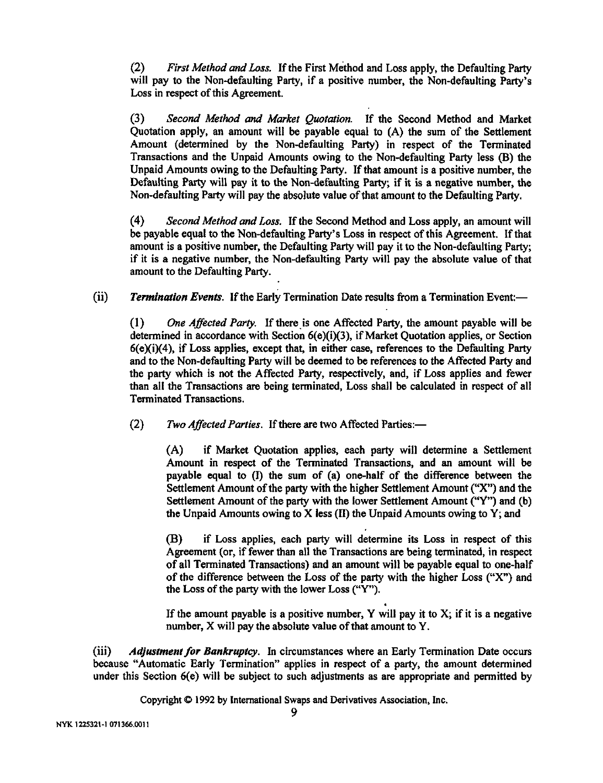(2) *First Method and Loss.* If the First Method and Loss apply, the Defaulting Party will pay to the Non-defaulting Party, if a positive number, the Non-defaulting Party's Loss in respect of this Agreement.

(3) *Second Method and Market Quotation.* If the Second Method and Market Quotation apply, an amount will be payable equal to (A) the sum of the Settlement Amount (determined by the Non-defaulting Party) in respect of the Terminated Transactions and the Unpaid Amounts owing to the Non-defaulting Party less (B) the Unpaid Amounts owing to the Defaulting Party. If that amount is a positive number, the Defaulting Party will pay it to the Non-defaulting Party; if it is a negative number, the Non-defaulting Party will pay the absolute value of that amount to the Defaulting Party.

(4) *Second Method and Loss.* If the Second Method and Loss apply, an amount will be payable equal to the Non-defaulting Party's Loss in respect of this Agreement. If that amount is a positive number, the Defaulting Party will pay it to the Non-defaulting Party; if it is a negative number, the Non-defaulting Party will pay the absolute value of that amount to the Defaulting Party.

(ii) *Termination Events.* If the Early Termination Date results from a Termination Event:—

(1) *One Affected Party.* If there is one Affected Party, the amount payable will be determined in accordance with Section 6(e)(i)(3), if Market Quotation applies, or Section  $6(e)$ (i)(4), if Loss applies, except that, in either case, references to the Defaulting Party and to the Non-defaulting Party will be deemed to be references to the Affected Party and the party which is not the Affected Party, respectively, and, if Loss applies and fewer than all the Transactions are being terminated. Loss shall be calculated in respect of all Terminated Transactions.

(2) *Two Affected Parties.* If there are two Affected Parties:—

(A) if Market Quotation applies, each party will determine a Settlement Amount in respect of the Terminated Transactions, and an amount will be payable equal to (I) the sum of (a) one-half of the difference between the Settlement Amount of the party with the higher Settlement Amount ("X") and the Settlement Amount of the party with the lower Settlement Amount ("Y") and (b) the Unpaid Amounts owing to X less  $(II)$  the Unpaid Amounts owing to Y; and

(B) if Loss applies, each party will determine its Loss in respect of this Agreement (or, if fewer than all the Transactions are being terminated, in respect of all Terminated Transactions) and an amount will be payable equal to one-half of the difference between the Loss of the party with the higher Loss ("X") and the Loss of the party with the lower Loss ("Y").

If the amount payable is a positive number, Y will pay it to  $X$ ; if it is a negative number, X will pay the absolute value of that amount to Y.

**«**

(iii) *Adjitstment for Bankruptcy.* In circumstances where an Early Termination Date occurs because "Automatic Early Termination" applies in respect of a party, the amount determined under this Section 6(e) will be subject to such adjustments as are appropriate and permitted by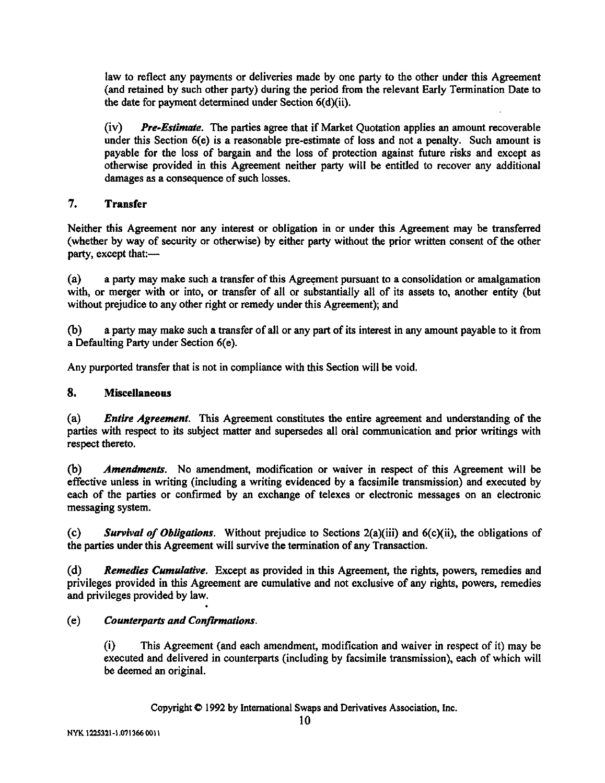law to reflect any payments or deliveries made by one party to the other under this Agreement (and retained by such other party) during the period from the relevant Early Termination Date to the date for payment determined under Section 6(d)(ii).

(iv) *Pre-Estimate.* The parties agree that if Market Quotation applies an amount recoverable under this Section 6(e) is a reasonable pre-estimate of loss and not a penalty. Such amount is payable for the loss of bargain and the loss of protection against future risks and except as otherwise provided in this Agreement neither party will be entitled to recover any additional damages as a consequence of such losses.

## **7. Transfer**

Neither this Agreement nor any interest or obligation in or under this Agreement may be transferred (whether by way of security or otherwise) by either party without the prior written consent of the other party, except that:—

(a) a party may make such a transfer of this Agreement pursuant to a consolidation or amalgamation with, or merger with or into, or transfer of all or substantially all of its assets to, another entity (but without prejudice to any other right or remedy under this Agreement); and

(b) a party may make such a transfer of all or any part of its interest in any amount payable to it from a Defaulting Party under Section 6(e).

Any purported transfer that is not in compliance with this Section will be void.

## **8. Miscellaneous**

**(a)** *Entire Agreement.* This Agreement constitutes the entire agreement and understanding of the parties with respect to its subject matter and supersedes all oral communication and prior writings with respect thereto.

**(b)** *Amendments.* No amendment, modification or waiver in respect of this Agreement will be effective unless in writing (including a writing evidenced by a facsimile transmission) and executed by each of the parties or confirmed by an exchange of telexes or electronic messages on an electronic messaging system.

(c) Survival of Obligations. Without prejudice to Sections 2(a)(iii) and 6(c)(ii), the obligations of the parties under this Agreement will survive the termination of any Transaction.

**(d)** *Remedies Cumulative.* Except as provided in this Agreement, the rights, powers, remedies and privileges provided in this Agreement are cumulative and not exclusive of any rights, powers, remedies and privileges provided by law.

## **(e)** *Counterparts and Confirmations.*

(i) This Agreement (and each amendment, modification and waiver in respect of it) may be executed and delivered in counterparts (including by facsimile transmission), each of which will be deemed an original.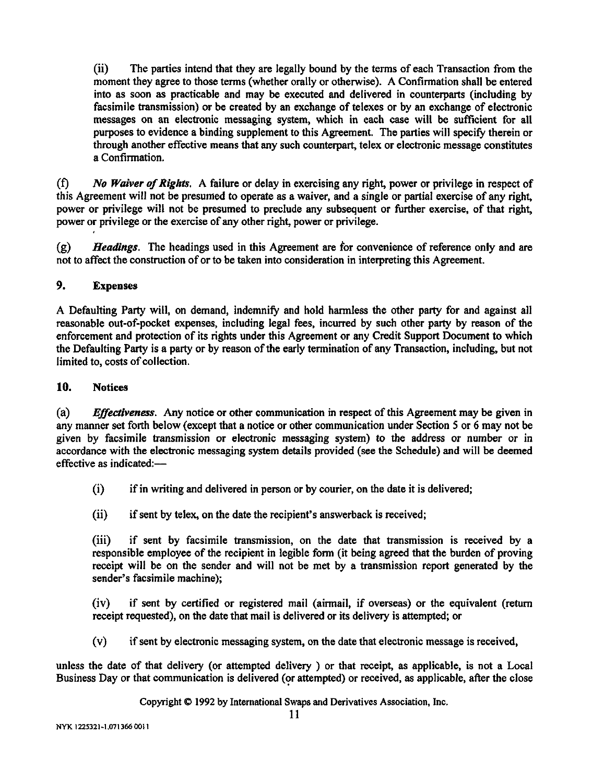(ii) The parties intend that they are legally bound by the terms of each Transaction from the moment they agree to those terms (whether orally or otherwise). A Confirmation shall be entered into as soon as practicable and may be executed and delivered in counterparts (including by facsimile transmission) or be created by an exchange of telexes or by an exchange of electronic messages on an electronic messaging system, which in each case will be sufficient for all purposes to evidence a binding supplement to this Agreement. The parties will specify therein or through another effective means that any such counterpart, telex or electronic message constitutes a Confirmation.

(f) *No Waiver of Rights.* A failure or delay in exercising any right, power or privilege in respect of this Agreement will not be presumed to operate as a waiver, and a single or partial exercise of any right, power or privilege will not be presumed to preclude any subsequent or further exercise, of that right, power or privilege or the exercise of any other right, power or privilege.

(g) *Headings.* The headings used in this Agreement are for convenience of reference only and are not to affect the construction of or to be taken into consideration in interpreting this Agreement.

# **9. Expenses**

A Defaulting Party will, on demand, indemnify and hold harmless the other party for and against all reasonable out-of-pocket expenses, including legal fees, incurred by such other party by reason of the enforcement and protection of its rights under this Agreement or any Credit Support Document to which the Defaulting Party is a party or by reason of the early termination of any Transaction, including, but not limited to, costs of collection.

## **10. Notices**

(a) *Effectiveness.* Any notice or other communication in respect of this Agreement may be given in any manner set forth below (except that a notice or other communication under Section 5 or 6 may not be given by facsimile transmission or electronic messaging system) to the address or number or in accordance with the electronic messaging system details provided (see the Schedule) and will be deemed effective as indicated:—

- (i) if in writing and delivered in person or by courier, on the date it is delivered;
- (ii) if sent by telex, on the date the recipient's answerback is received;

(iii) if sent by facsimile transmission, on the date that transmission is received by a responsible employee of the recipient in legible form (it being agreed that the burden of proving receipt will be on the sender and will not be met by a transmission report generated by the sender's facsimile machine);

(iv) if sent by certified or registered mail (airmail, if overseas) or the equivalent (return receipt requested), on the date that mail is delivered or its delivery is attempted; or

(v) if sent by electronic messaging system, on the date that electronic message is received,

unless the date of that delivery (or attempted delivery ) or that receipt, as applicable, is not a Local Business Day or that communication is delivered (or attempted) or received, as applicable, after the close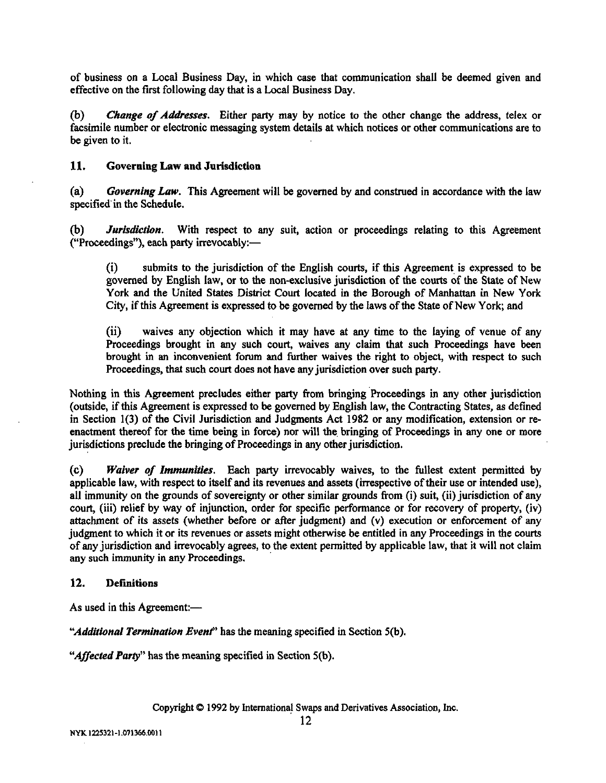of business on a Local Business Day, in which case that communication shall be deemed given and effective on the first following day that is a Local Business Day.

(b) *Change of Addresses.* Either party may by notice to the other change the address, telex or facsimile number or electronic messaging system details at which notices or other communications are to be given to it.

#### **11. Governing Law and Jurisdiction**

**(a)** *Governing Law.* This Agreement will be governed by and construed in accordance with the law specified in the Schedule.

**(b)** *Jurisdiction.* With respect to any suit, action or proceedings relating to this Agreement ("Proceedings"), each party irrevocably:—

(i) submits to the jurisdiction of the English courts, if this Agreement is expressed to be governed by English law, or to the non-exclusive jurisdiction of the courts of the State of New York and the United States District Court located in the Borough of Manhattan in New York City, if this Agreement is expressed to be governed by the laws of the State of New York; and

(ii) waives any objection which it may have at any time to the laying of venue of any Proceedings brought in any such court, waives any claim that such Proceedings have been brought in an inconvenient forum and further waives the right to object, with respect to such Proceedings, that such court does not have any jurisdiction over such party.

Nothing in this Agreement precludes either party from bringing Proceedings in any other jurisdiction (outside, if this Agreement is expressed to be governed by English law, the Contracting States, as defined in Section 1(3) of the Civil Jurisdiction and Judgments Act 1982 or any modification, extension or reenactment thereof for the time being in force) nor will the bringing of Proceedings in any one or more jurisdictions preclude the bringing of Proceedings in any other jurisdiction.

(c) *Waiver of Immunities.* Each party irrevocably waives, to the fullest extent permitted by applicable law, with respect to itself and its revenues and assets (irrespective of their use or intended use), all immunity on the grounds of sovereignty or other similar grounds from (i) suit, (ii) jurisdiction of any court, (iii) relief by way of injunction, order for specific performance or for recovery of property, (iv) attachment of its assets (whether before or after judgment) and (v) execution or enforcement of any judgment to which it or its revenues or assets might otherwise be entitled in any Proceedings in the courts of any jurisdiction and irrevocably agrees, to the extent permitted by applicable law, that it will not claim any such immunity in any Proceedings.

## **12. Definitions**

As used in this Agreement:—

*"•Additional Termination Event'* has the meaning specified in Section 5(b).

"*Affected Party*" has the meaning specified in Section 5(b).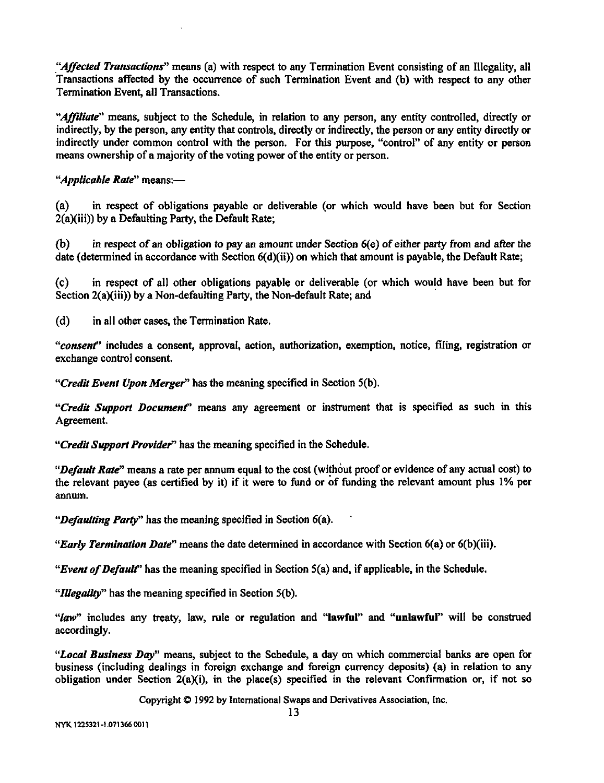*''^Affected Transactions"* means (a) with respect to any Termination Event consisting of an Illegality, all Transactions affected by the occurrence of such Termination Event and (b) with respect to any other Termination Event, all Transactions.

*"Affiliate"* means, subject to the Schedule, in relation to any person, any entity controlled, directly or indirectly, by the person, any entity that controls, directly or indirectly, the person or any entity directly or indirectly under common control with the person. For this purpose, "control" of any entity or person means ownership of a majority of the voting power of the entity or person.

*''Appiicable Rate"* means:—

(a) in respect of obligations payable or deliverable (or which would have been but for Section 2(a)(iii)) by a Defaulting Party, the Default Rate;

(b) in respect of an obligation to pay an amount under Section 6(e) of either party from and after the date (determined in accordance with Section  $6(d)(ii)$ ) on which that amount is payable, the Default Rate;

(c) in respect of all other obligations payable or deliverable (or which would have been but for Section 2(a)(iii)) by a Non-defaulting Party, the Non-default Rate; and

(d) in all other cases, the Termination Rate.

*"consent^* includes a consent, approval, action, authorization, exemption, notice, filing, registration or exchange control consent.

*''Credit Event Upon Merger"* has the meaning specified in Section 5(b).

*"Credit Support Document'* means any agreement or instrument that is specified as such in this Agreement.

*"Credit Support Provider"* has the meaning specified in the Schedule.

*"Default Rate"* means a rate per annum equal to the cost (without proof or evidence of any actual cost) to the relevant payee (as certified by it) if it were to fund or of funding the relevant amount plus 1% per annum.

*"Defaulting Party"* has the meaning specified in Section 6(a).

*"Early Termination Date"* means the date determined in accordance with Section 6(a) or 6(b)(iii).

*"Event of Default'* has the meaning specified in Section 5(a) and, if applicable, in the Schedule.

*"Illegality"* has the meaning specified in Section 5(b).

*"law"* includes any treaty, law, rule or regulation and **"lawful"** and **"unlawful"** will be construed accordingly.

*"Local Business Day"* means, subject to the Schedule, a day on which commercial banks are open for business (including dealings in foreign exchange and foreign currency deposits) (a) in relation to any obligation under Section 2(a)(i), in the place(s) specified in the relevant Confirmation or, if not so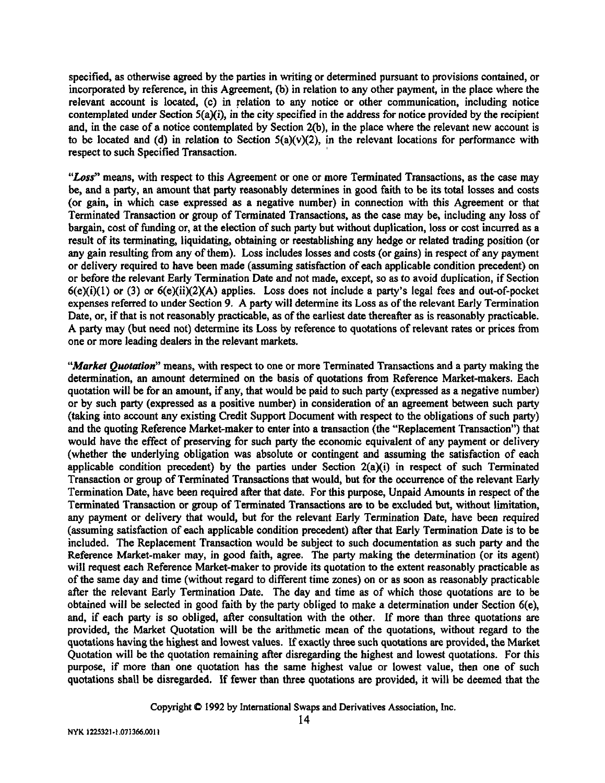specified, as otherwise agreed by the parties in writing or determined pursuant to provisions contained, or incorporated by reference, in this Agreement, (b) in relation to any other payment, in the place where the relevant account is located, (c) in relation to any notice or other communication, including notice contemplated under Section  $5(a)(i)$ , in the city specified in the address for notice provided by the recipient and, in the case of a notice contemplated by Section 2(b), in the place where the relevant new account is to be located and (d) in relation to Section  $S(a)(v)(2)$ , in the relevant locations for performance with respect to such Specified Transaction.

*"Loss"* means, with respect to this Agreement or one or more Terminated Transactions, as the case may be, and a party, an amount that party reasonably determines in good faith to be its total losses and costs (or gain, in which case expressed as a negative number) in connection with this Agreement or that Terminated Transaction or group of Terminated Transactions, as the case may be, including any loss of bargain, cost of funding or, at the election of such party but without duplication, loss or cost incurred as a result of its terminating, liquidating, obtaining or reestablishing any hedge or related trading position (or any gain resulting from any of them). Loss includes losses and costs (or gains) in respect of any payment or delivery required to have been made (assuming satisfaction of each applicable condition precedent) on or before the relevant Early Termination Date and not made, except, so as to avoid duplication, if Section  $6(e)(i)(1)$  or (3) or  $6(e)(ii)(2)(A)$  applies. Loss does not include a party's legal fees and out-of-pocket expenses referred to under Section 9. A party will determine its Loss as of the relevant Early Termination Date, or, if that is not reasonably practicable, as of the earliest date thereafter as is reasonably practicable. A party may (but need not) determine its Loss by reference to quotations of relevant rates or prices from one or more leading dealers in the relevant markets.

*''Market Quotation"* means, with respect to one or more Terminated Transactions and a party making the determination, an amount determined on the basis of quotations from Reference Market-makers. Each quotation will be for an amount, if any, that would be paid to such party (expressed as a negative number) or by such party (expressed as a positive number) in consideration of an agreement between such party (taking into account any existing Credit Support Document with respect to the obligations of such party) and the quoting Reference Market-maker to enter into a transaction (the "Replacement Transaction") that would have the effect of preserving for such party the economic equivalent of any payment or delivery (whether the underlying obligation was absolute or contingent and assuming the satisfaction of each applicable condition precedent) by the parties under Section  $2(a)(i)$  in respect of such Terminated Transaction or group of Terminated Transactions that would, but for the occurrence of the relevant Early Termination Date, have been required after that date. For this purpose. Unpaid Amounts in respect of the Terminated Transaction or group of Terminated Transactions are to be excluded but, without limitation, any payment or delivery that would, but for the relevant Early Termination Date, have been required (assuming satisfaction of each applicable condition precedent) after that Early Termination Date is to be included. The Replacement Transaction would be subject to such documentation as such party and the Reference Market-maker may, in good faith, agree. The party making the determination (or its agent) will request each Reference Market-maker to provide its quotation to the extent reasonably practicable as of the same day and time (without regard to different time zones) on or as soon as reasonably practicable after the relevant Early Termination Date. The day and time as of which those quotations are to be obtained will be selected in good faith by the party obliged to make a determination under Section 6(e), and, if each party is so obliged, after consultation with the other. If more than three quotations are provided, the Market Quotation will be the arithmetic mean of the quotations, without regard to the quotations having the highest and lowest values. If exactly three such quotations are provided, the Market Quotation will be the quotation remaining after disregarding the highest and lowest quotations. For this purpose, if more than one quotation has the same highest value or lowest value, then one of such quotations shall be disregarded. If fewer than three quotations are provided, it will be deemed that the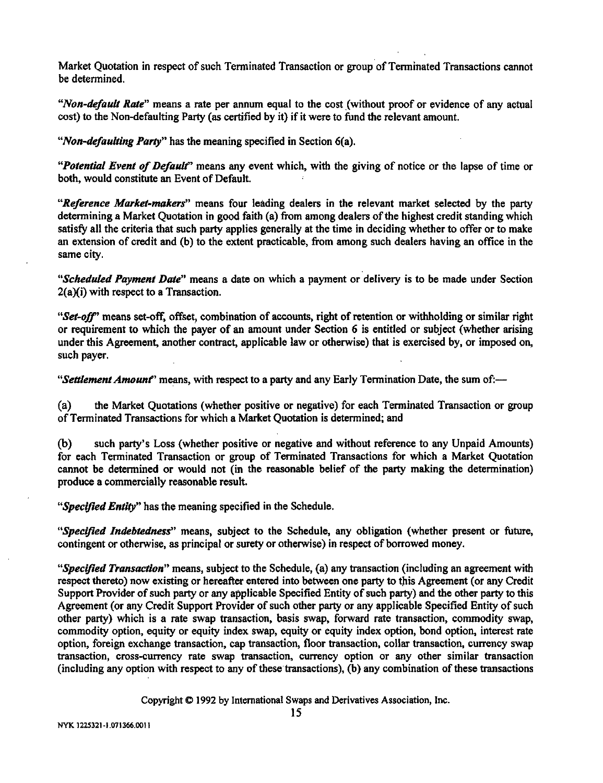Market Quotation in respect of such Terminated Transaction or group of Terminated Transactions cannot be determined.

*"Non-default Rate"* means a rate per annum equal to the cost (without proof or evidence of any actual cost) to the Non-defaulting Party (as certified by it) if it were to fund the relevant amount.

*"Non-defaulting Party"* has the meaning specified in Section 6(a).

*"Potential Event of Default*" means any event which, with the giving of notice or the lapse of time or both, would constitute an Event of Default.

*"Reference Market-makers"* means four leading dealers in the relevant market selected by the party determining a Market Quotation in good faith (a) from among dealers of the highest credit standing which satisfy all the criteria that such party applies generally at the time in deciding whether to offer or to make an extension of credit and (b) to the extent practicable, from among such dealers having an office in the same city.

*"Scheduled Payment Date"* means a date on which a payment or delivery is to be made under Section  $2(a)(i)$  with respect to a Transaction.

*"Set-off* means set-off, offset, combination of accounts, right of retention or withholding or similar right or requirement to which the payer of an amount under Section 6 is entitled or subject (whether arising under this Agreement, another contract, applicable law or otherwise) that is exercised by, or imposed on, such payer.

*"Settlement Amount*" means, with respect to a party and any Early Termination Date, the sum of:—

(a) the Market Quotations (whether positive or negative) for each Terminated Transaction or group of Terminated Transactions for which a Market Quotation is determined; and

(b) such party's Loss (whether positive or negative and without reference to any Unpaid Amounts) for each Terminated Transaction or group of Terminated Transactions for which a Market Quotation cannot be determined or would not (in the reasonable belief of the party making the determination) produce a commercially reasonable result.

*"Specified Entity"* has the meaning specified in the Schedule.

*"Specified Indebtedness"* means, subject to the Schedule, any obligation (whether present or future, contingent or otherwise, as principal or surety or otherwise) in respect of borrowed money.

*"Specified Transaction"* means, subject to the Schedule, (a) any transaction (including an agreement with respect thereto) now existing or hereafler entered into between one party to this Agreement (or any Credit Support Provider of such party or any applicable Specified Entity of such party) and the other party to this Agreement (or any Credit Support Provider of such other party or any applicable Specified Entity of such other party) which is a rate swap transaction, basis swap, forward rate transaction, commodity swap, commodity option, equity or equity index swap, equity or equity index option, bond option, interest rate option, foreign exchange transaction, cap transaction, floor transaction, collar transaction, currency swap transaction, cross-currency rate swap transaction, currency option or any other similar transaction (including any option with respect to any of these transactions), (b) any combination of these transactions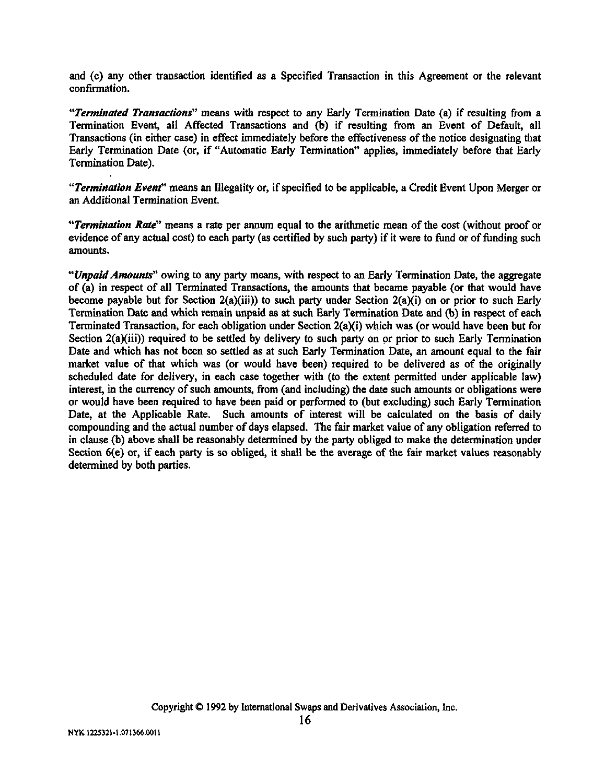and (c) any other transaction identified as a Specified Transaction in this Agreement or the relevant confirmation.

*"Terminated Transactions^^* means with respect to any Early Termination Date (a) if resulting from a Termination Event, all Affected Transactions and (b) if resulting from an Event of Default, all Transactions (in either case) in effect immediately before the effectiveness of the notice designating that Early Termination Date (or, if "Automatic Early Termination" applies, immediately before that Early Termination Date).

*"Termination Evenf^* means an Illegality or, if specified to be applicable, a Credit Event Upon Merger or an Additional Termination Event.

*"Termination Rate"* means a rate per annum equal to the arithmetic mean of the cost (without proof or evidence of any actual cost) to each party (as certified by such party) if it were to fund or of funding such amounts.

*"Unpaid Amounts"* owing to any party means, with respect to an Early Termination Date, the aggregate of (a) in respect of all Terminated Transactions, the amounts that became payable (or that would have become payable but for Section 2(a)(iii)) to such party under Section 2(a)(i) on or prior to such Early Termination Date and which remain unpaid as at such Early Termination Date and (b) in respect of each Terminated Transaction, for each obligation under Section 2(a)(i) which was (or would have been but for Section 2(a)(iii)) required to be settled by delivery to such party on or prior to such Early Termination Date and which has not been so settled as at such Early Termination Date, an amount equal to the fair market value of that which was (or would have been) required to be delivered as of the originally scheduled date for delivery, in each case together with (to the extent permitted under applicable law) interest, in the currency of such amounts, from (and including) the date such amounts or obligations were or would have been required to have been paid or performed to (but excluding) such Early Termination Date, at the Applicable Rate. Such amounts of interest will be calculated on the basis of daily compounding and the actual number of days elapsed. The fair market value of any obligation referred to in clause (b) above shall be reasonably determined by the party obliged to make the determination under Section 6(e) or, if each party is so obliged, it shall be the average of the fair market values reasonably determined by both parties.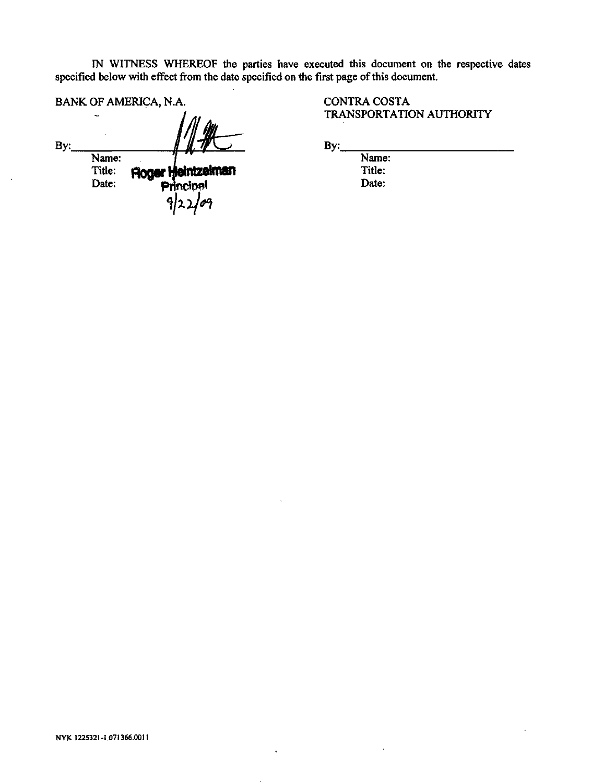IN WITNESS WHEREOF the parties have executed this document on the respective dates specified below with effect from the date specified on the first page of this document.

 $\ddot{\phantom{a}}$ 

 $\ddot{\phantom{a}}$ 

| BANK OF AMERICA, N.A. |                          |               |                                   |
|-----------------------|--------------------------|---------------|-----------------------------------|
| By:                   |                          |               |                                   |
|                       | Name:<br>Title:<br>Date: | <b>Floger</b> | <b>r Heintzelman</b><br>Principal |

 $\bar{z}$ 

 $\bar{z}$ 

CONTRA COSTA TRANSPORTATION AUTHORITY

**Bv:**

Name: Title: Date:

 $\cdot$